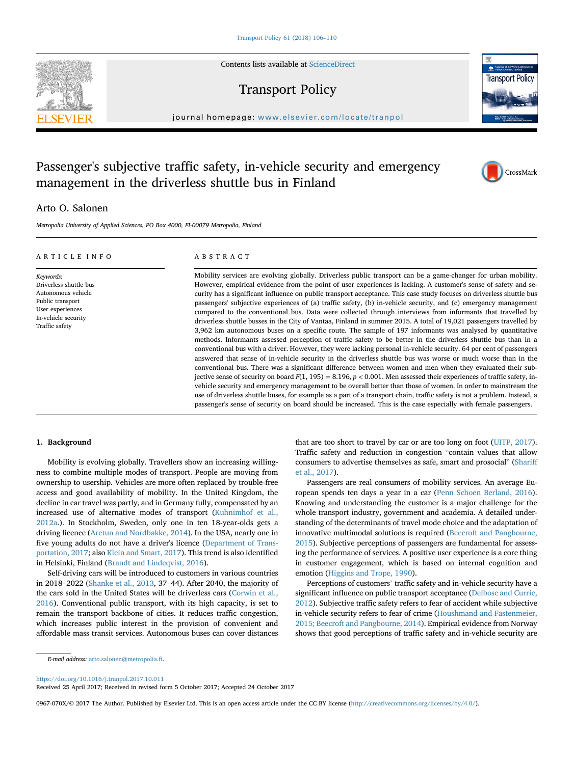Contents lists available at [ScienceDirect](www.sciencedirect.com/science/journal/0967070X)

## Transport Policy



journal homepage: [www.elsevier.com/locate/tranpol](http://www.elsevier.com/locate/tranpol)

## Passenger's subjective traffic safety, in-vehicle security and emergency management in the driverless shuttle bus in Finland



### Arto O. Salonen

Metropolia University of Applied Sciences, PO Box 4000, FI-00079 Metropolia, Finland

| ARTICLE INFO                                                                                                                               | ABSTRACT                                                                                                                                                                                                                                                                                                                                                                                                                                                                                                                                                                                                                                                                                                                                                                                                                                                                                                                                                                                                                                                                                                                                                                                                                                                                                                                                                                                                                                                                                                                                                                                                                                                                                                                                                                                           |
|--------------------------------------------------------------------------------------------------------------------------------------------|----------------------------------------------------------------------------------------------------------------------------------------------------------------------------------------------------------------------------------------------------------------------------------------------------------------------------------------------------------------------------------------------------------------------------------------------------------------------------------------------------------------------------------------------------------------------------------------------------------------------------------------------------------------------------------------------------------------------------------------------------------------------------------------------------------------------------------------------------------------------------------------------------------------------------------------------------------------------------------------------------------------------------------------------------------------------------------------------------------------------------------------------------------------------------------------------------------------------------------------------------------------------------------------------------------------------------------------------------------------------------------------------------------------------------------------------------------------------------------------------------------------------------------------------------------------------------------------------------------------------------------------------------------------------------------------------------------------------------------------------------------------------------------------------------|
| Keywords:<br>Driverless shuttle bus<br>Autonomous vehicle<br>Public transport<br>User experiences<br>In-vehicle security<br>Traffic safety | Mobility services are evolving globally. Driverless public transport can be a game-changer for urban mobility.<br>However, empirical evidence from the point of user experiences is lacking. A customer's sense of safety and se-<br>curity has a significant influence on public transport acceptance. This case study focuses on driverless shuttle bus<br>passengers' subjective experiences of (a) traffic safety, (b) in-vehicle security, and (c) emergency management<br>compared to the conventional bus. Data were collected through interviews from informants that travelled by<br>driverless shuttle busses in the City of Vantaa, Finland in summer 2015. A total of 19,021 passengers travelled by<br>3,962 km autonomous buses on a specific route. The sample of 197 informants was analysed by quantitative<br>methods. Informants assessed perception of traffic safety to be better in the driverless shuttle bus than in a<br>conventional bus with a driver. However, they were lacking personal in-vehicle security. 64 per cent of passengers<br>answered that sense of in-vehicle security in the driverless shuttle bus was worse or much worse than in the<br>conventional bus. There was a significant difference between women and men when they evaluated their sub-<br>jective sense of security on board $F(1, 195) = 8.196$ , $p < 0.001$ . Men assessed their experiences of traffic safety, in-<br>vehicle security and emergency management to be overall better than those of women. In order to mainstream the<br>use of driverless shuttle buses, for example as a part of a transport chain, traffic safety is not a problem. Instead, a<br>passenger's sense of security on board should be increased. This is the case especially with female passengers. |

#### 1. Background

Mobility is evolving globally. Travellers show an increasing willingness to combine multiple modes of transport. People are moving from ownership to usership. Vehicles are more often replaced by trouble-free access and good availability of mobility. In the United Kingdom, the decline in car travel was partly, and in Germany fully, compensated by an increased use of alternative modes of transport (Kuhnimhof et al., 2012a.). In Stockholm, Sweden, only one in ten 18-year-olds gets a driving licence (Aretun and Nordbakke, 2014). In the USA, nearly one in five young adults do not have a driver's licence (Department of Transportation, 2017; also Klein and Smart, 2017). This trend is also identified in Helsinki, Finland (Brandt and Lindeqvist, 2016).

Self-driving cars will be introduced to customers in various countries in 2018–2022 (Shanke et al., 2013, 37–44). After 2040, the majority of the cars sold in the United States will be driverless cars (Corwin et al., 2016). Conventional public transport, with its high capacity, is set to remain the transport backbone of cities. It reduces traffic congestion, which increases public interest in the provision of convenient and affordable mass transit services. Autonomous buses can cover distances

that are too short to travel by car or are too long on foot (UITP, 2017). Traffic safety and reduction in congestion "contain values that allow consumers to advertise themselves as safe, smart and prosocial" (Shariff et al., 2017).

Passengers are real consumers of mobility services. An average European spends ten days a year in a car (Penn Schoen Berland, 2016). Knowing and understanding the customer is a major challenge for the whole transport industry, government and academia. A detailed understanding of the determinants of travel mode choice and the adaptation of innovative multimodal solutions is required (Beecroft and Pangbourne, 2015). Subjective perceptions of passengers are fundamental for assessing the performance of services. A positive user experience is a core thing in customer engagement, which is based on internal cognition and emotion (Higgins and Trope, 1990).

Perceptions of customers' traffic safety and in-vehicle security have a significant influence on public transport acceptance (Delbosc and Currie, 2012). Subjective traffic safety refers to fear of accident while subjective in-vehicle security refers to fear of crime (Houshmand and Fastenmeier, 2015; Beecroft and Pangbourne, 2014). Empirical evidence from Norway shows that good perceptions of traffic safety and in-vehicle security are

<https://doi.org/10.1016/j.tranpol.2017.10.011>

Received 25 April 2017; Received in revised form 5 October 2017; Accepted 24 October 2017

0967-070X/© 2017 The Author. Published by Elsevier Ltd. This is an open access article under the CC BY license [\(http://creativecommons.org/licenses/by/4.0/\)](http://creativecommons.org/licenses/by/4.0/).



E-mail address: [arto.salonen@metropolia.](mailto:arto.salonen@metropolia.fi)fi.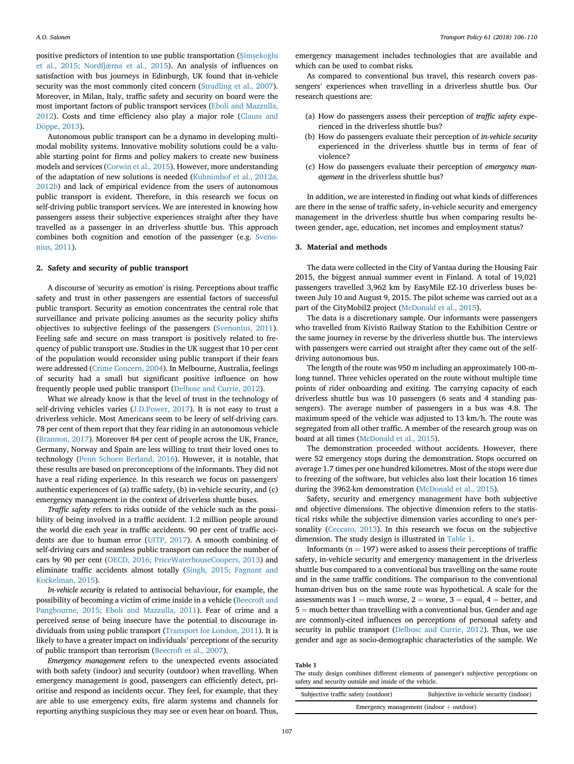positive predictors of intention to use public transportation (Simsekoğlu et al., 2015; Nordfjærna et al., 2015). An analysis of influences on satisfaction with bus journeys in Edinburgh, UK found that in-vehicle security was the most commonly cited concern (Stradling et al., 2007). Moreover, in Milan, Italy, traffic safety and security on board were the most important factors of public transport services (Eboli and Mazzulla, 2012). Costs and time efficiency also play a major role (Clauss and Döppe, 2013).

Autonomous public transport can be a dynamo in developing multimodal mobility systems. Innovative mobility solutions could be a valuable starting point for firms and policy makers to create new business models and services (Corwin et al., 2015). However, more understanding of the adaptation of new solutions is needed (Kuhnimhof et al., 2012a, 2012b) and lack of empirical evidence from the users of autonomous public transport is evident. Therefore, in this research we focus on self-driving public transport services. We are interested in knowing how passengers assess their subjective experiences straight after they have travelled as a passenger in an driverless shuttle bus. This approach combines both cognition and emotion of the passenger (e.g. Svenonius, 2011).

#### 2. Safety and security of public transport

A discourse of 'security as emotion' is rising. Perceptions about traffic safety and trust in other passengers are essential factors of successful public transport. Security as emotion concentrates the central role that surveillance and private policing assumes as the security policy shifts objectives to subjective feelings of the passengers (Svenonius, 2011). Feeling safe and secure on mass transport is positively related to frequency of public transport use. Studies in the UK suggest that 10 per cent of the population would reconsider using public transport if their fears were addressed (Crime Concern, 2004). In Melbourne, Australia, feelings of security had a small but significant positive influence on how frequently people used public transport (Delbosc and Currie, 2012).

What we already know is that the level of trust in the technology of self-driving vehicles varies (J.D.Power, 2017). It is not easy to trust a driverless vehicle. Most Americans seem to be leery of self-driving cars. 78 per cent of them report that they fear riding in an autonomous vehicle (Brannon, 2017). Moreover 84 per cent of people across the UK, France, Germany, Norway and Spain are less willing to trust their loved ones to technology (Penn Schoen Berland, 2016). However, it is notable, that these results are based on preconceptions of the informants. They did not have a real riding experience. In this research we focus on passengers' authentic experiences of (a) traffic safety, (b) in-vehicle security, and (c) emergency management in the context of driverless shuttle buses.

Traffic safety refers to risks outside of the vehicle such as the possibility of being involved in a traffic accident. 1.2 million people around the world die each year in traffic accidents. 90 per cent of traffic accidents are due to human error (UITP, 2017). A smooth combining of self-driving cars and seamless public transport can reduce the number of cars by 90 per cent (OECD, 2016; PriceWaterhouseCoopers, 2013) and eliminate traffic accidents almost totally (Singh, 2015; Fagnant and Kockelman, 2015).

In-vehicle security is related to antisocial behaviour, for example, the possibility of becoming a victim of crime inside in a vehicle (Beecroft and Pangbourne, 2015; Eboli and Mazzulla, 2011). Fear of crime and a perceived sense of being insecure have the potential to discourage individuals from using public transport (Transport for London, 2011). It is likely to have a greater impact on individuals' perceptions of the security of public transport than terrorism (Beecroft et al., 2007).

Emergency management refers to the unexpected events associated with both safety (indoor) and security (outdoor) when travelling. When emergency management is good, passengers can efficiently detect, prioritise and respond as incidents occur. They feel, for example, that they are able to use emergency exits, fire alarm systems and channels for reporting anything suspicious they may see or even hear on board. Thus,

emergency management includes technologies that are available and which can be used to combat risks.

As compared to conventional bus travel, this research covers passengers' experiences when travelling in a driverless shuttle bus. Our research questions are:

- (a) How do passengers assess their perception of traffic safety experienced in the driverless shuttle bus?
- (b) How do passengers evaluate their perception of in-vehicle security experienced in the driverless shuttle bus in terms of fear of violence?
- (c) How do passengers evaluate their perception of emergency management in the driverless shuttle bus?

In addition, we are interested in finding out what kinds of differences are there in the sense of traffic safety, in-vehicle security and emergency management in the driverless shuttle bus when comparing results between gender, age, education, net incomes and employment status?

#### 3. Material and methods

The data were collected in the City of Vantaa during the Housing Fair 2015, the biggest annual summer event in Finland. A total of 19,021 passengers travelled 3,962 km by EasyMile EZ-10 driverless buses between July 10 and August 9, 2015. The pilot scheme was carried out as a part of the CityMobil2 project (McDonald et al., 2015).

The data is a discretionary sample. Our informants were passengers who travelled from Kivistö Railway Station to the Exhibition Centre or the same journey in reverse by the driverless shuttle bus. The interviews with passengers were carried out straight after they came out of the selfdriving autonomous bus.

The length of the route was 950 m including an approximately 100-mlong tunnel. Three vehicles operated on the route without multiple time points of rider onboarding and exiting. The carrying capacity of each driverless shuttle bus was 10 passengers (6 seats and 4 standing passengers). The average number of passengers in a bus was 4.8. The maximum speed of the vehicle was adjusted to 13 km/h. The route was segregated from all other traffic. A member of the research group was on board at all times (McDonald et al., 2015).

The demonstration proceeded without accidents. However, there were 52 emergency stops during the demonstration. Stops occurred on average 1.7 times per one hundred kilometres. Most of the stops were due to freezing of the software, but vehicles also lost their location 16 times during the 3962-km demonstration (McDonald et al., 2015).

Safety, security and emergency management have both subjective and objective dimensions. The objective dimension refers to the statistical risks while the subjective dimension varies according to one's personality (Ceccato, 2013). In this research we focus on the subjective dimension. The study design is illustrated in Table 1.

Informants ( $n = 197$ ) were asked to assess their perceptions of traffic safety, in-vehicle security and emergency management in the driverless shuttle bus compared to a conventional bus travelling on the same route and in the same traffic conditions. The comparison to the conventional human-driven bus on the same route was hypothetical. A scale for the assessments was  $1 =$  much worse,  $2 =$  worse,  $3 =$  equal,  $4 =$  better, and  $5 =$  much better than travelling with a conventional bus. Gender and age are commonly-cited influences on perceptions of personal safety and security in public transport (Delbosc and Currie, 2012). Thus, we use gender and age as socio-demographic characteristics of the sample. We

#### Table 1

The study design combines different elements of passenger's subjective perceptions on safety and security outside and inside of the vehicle.

| Subjective traffic safety (outdoor)       | Subjective in-vehicle security (indoor) |  |  |
|-------------------------------------------|-----------------------------------------|--|--|
| Emergency management (indoor $+$ outdoor) |                                         |  |  |